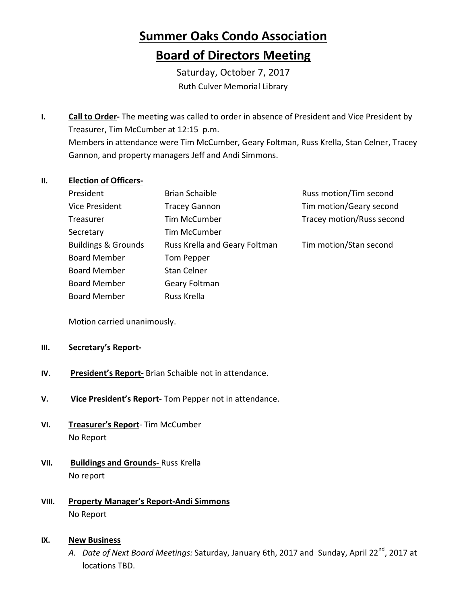## **Summer Oaks Condo Association Board of Directors Meeting**

Saturday, October 7, 2017 Ruth Culver Memorial Library

**I. Call to Order-** The meeting was called to order in absence of President and Vice President by Treasurer, Tim McCumber at 12:15 p.m. Members in attendance were Tim McCumber, Geary Foltman, Russ Krella, Stan Celner, Tracey Gannon, and property managers Jeff and Andi Simmons.

## **II. Election of Officers-**

| President                      | <b>Brian Schaible</b>         | Russ motion/Tim second    |
|--------------------------------|-------------------------------|---------------------------|
| <b>Vice President</b>          | <b>Tracey Gannon</b>          | Tim motion/Geary second   |
| Treasurer                      | <b>Tim McCumber</b>           | Tracey motion/Russ second |
| Secretary                      | <b>Tim McCumber</b>           |                           |
| <b>Buildings &amp; Grounds</b> | Russ Krella and Geary Foltman | Tim motion/Stan second    |
| <b>Board Member</b>            | Tom Pepper                    |                           |
| <b>Board Member</b>            | <b>Stan Celner</b>            |                           |
| <b>Board Member</b>            | Geary Foltman                 |                           |
| <b>Board Member</b>            | Russ Krella                   |                           |

Motion carried unanimously.

## **III. Secretary's Report-**

- **IV. President's Report-** Brian Schaible not in attendance.
- **V. Vice President's Report-** Tom Pepper not in attendance.
- **VI. Treasurer's Report** Tim McCumber No Report
- **VII. Buildings and Grounds-** Russ Krella No report
- **VIII. Property Manager's Report-Andi Simmons** No Report

## **IX. New Business**

*A. Date of Next Board Meetings:* Saturday, January 6th, 2017 and Sunday, April 22nd, 2017 at locations TBD.